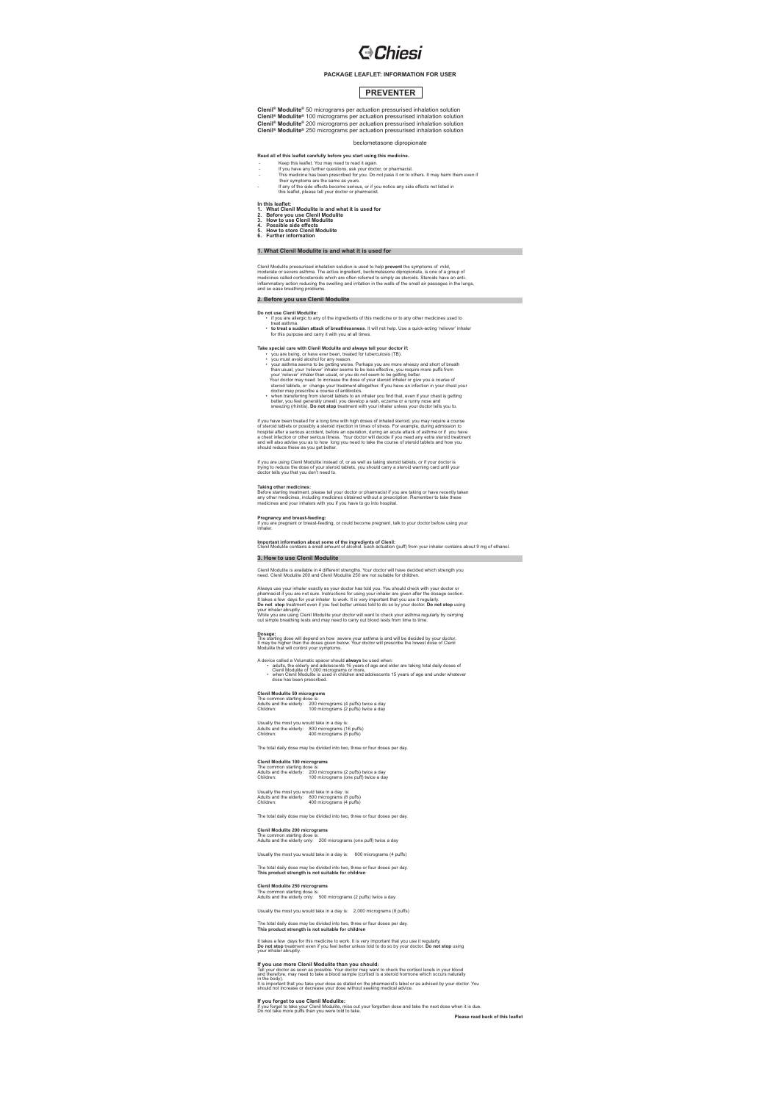# **G**Chiesi

### **PACKAGE LEAFLET: INFORMATION FOR USER**

## **PREVENTER**

Clenil<sup>e</sup> Modulite® 50 micrograms per actuation pressurised inhalation solution<br>Clenil<sup>e</sup> Modulite® 100 micrograms per actuation pressurised inhalation solution<br>Clenil<sup>e</sup> Modulite® 200 micrograms per actuation pressurised beclometasone dipropionate

- Read all of this leadier carefully before you start using this medicine.<br>
 Keep this leadier. You may need to read it again.<br>
 If you have any further questions, ask your doctor, or pharmacist<br>
 This medicine has been p
	-
- 
- In this leaflet:<br>1. What Clenil Modulite is and what it is used for<br>2. Before you use Clenil Modulite<br>3. How to use Clenil Modulite<br>4. Possible side effects<br>5. Florther information<br>6. Further information
- 
- 

## **1. What Clenil Modulite is and what it is used for**

Clenil Modulite pressurised inhalation solution is used to help **prevent** the symptoms of mild.<br>moderate or severe asthma. The active ingredient, beclometasone dipropionate, is one of a group of<br>medicines called corticoste **2. Before you use Clenil Modulite**

- **Do not use Clenil Modulite:** if you are allergic to any of the ingredients of this medicine or to any other medicines used to
	- treat asthma. **to treat a sudden attack of breathlessness**. It will not help. Use a quick-acting 'reliever' inhaler for this purpose and carry it with you at all times.

- Take special care with Clentific Modelite and always tell your decision: if:<br>  $\bullet$  you are being, or have ever been, tested for tuberculosis (TB).<br>  $\bullet$  you are being, or have ever been, tested for tuberculosis (TB).<br>
You
	-
	-
	- better, you feel generally unwell, you develop a rash, eczema or a runny nose and sneezing (rhinitis). **Do not stop** treatment with your inhaler unless your doctor tells you to.

If you have been treated for a long time with high doses of inhaled steroid, you may require a course<br>of steroid tablets or possibly a steroid injection in times of stress. For example, during admission to<br>hospital after a

lf you are using Clenil Modulite instead of, or as well as taking steroid tablets, or if your doctor is<br>trying to reduce the dose of your steroid tablets, you should carry a steroid warning card until your<br>doctor tells you

Taking other medicines:<br>Before starting treatment, please tell your doctor or pharmacist if you are taking or have recently taken<br>any other medicines, including medicines obtained without a prescription. Remember to take t

**Pregnancy and breast-feeding:**<br>If you are pregnant or breast-feeding, or could become pregnant, talk to your doctor before using your<br>inhaler.

Important information about some of the ingredients of Clenil:<br>Clenil Modulite contains a small amount of alcohol. Each actuation (puff) from your inhaler contains about 9 mg of ethanol.

### **3. How to use Clenil Modulite**

Clenil Modulite is available in 4 different strengths. Your doctor will have decided which strength you need. Clenil Modulite 200 and Clenil Modulite 250 are not suitable for children.

Always use your inhale exactly as your doctor has told you. You should check with your doctor or<br>pharmacist if you are not sure. Instructions for using your inhaler are given after the dosage section.<br>Traitemes a few days

Dosage:<br>The starting dose will depend on how severe your asthma is and will be decided by your doctor.<br>It may be higher than the doses given below. Your doctor will prescribe the lowest dose of Clenil<br>Modulite that will co

A device called a Volumatic spacer should **always** be used when:<br>• adults, the elderly and adolescents 16 years of age and older are taking total daily doses of<br>• Clenil Modulite of 1,000 micrograms or more,<br>• when Clenil

**Clenil Modulite 50 micrograms** The common starting dose is: Adults and the elderly: 200 micrograms (4 puffs) twice a day Children: 100 micrograms (2 puffs) twice a day

Usually the most you would take in a day is: Adults and the elderly: 800 micrograms (16 puffs) Children: 400 micrograms (8 puffs)

The total daily dose may be divided into two, three or four doses per day.

**Clenil Modulite 100 micrograms** The common starting dose is: Adults and the elderly: 200 micrograms (2 puffs) twice a day Children: 100 micrograms (one puff) twice a day

## Usually the most you would take in a day is: Adults and the elderly: 800 micrograms (8 puffs) Children: 400 micrograms (4 puffs)

The total daily dose may be divided into two, three or four doses per day.

**Clenil <b>Modulite 200 micrograms**<br>The common starting dose is:<br>Adults and the elderly only: 200 micrograms (one puff) twice a day Usually the most you would take in a day is: 800 micrograms (4 puffs)

The total daily dose may be divided into two, three or four doses per day. **This product strength is not suitable for children**

**Clenil Modulite 250 micrograms**<br>The common starting dose is:<br>Adults and the elderly only: 500 micrograms (2 puffs) twice a day

Usually the most you would take in a day is: 2,000 micrograms (8 puffs)

The total daily dose may be divided into two, three or four doses per day. **This product strength is not suitable for children**

## It takes a few days for this medicine to work. It is very important that you use it regularly.<br>**Do not stop** treatment even if you feel better unless told to do so by your doctor. **Do not stop** using<br>your inhaler abruptly

Iff you use more Clenti Modulitie than you should:<br>Tell your doctor as soon as possible. Your doctor may want to check the cortisol levels in your blood<br>and therefore, may need to take a blood sample (cortisol is a steroid

**If you forget to use Clenil Modulite:**<br>If you forget to take your Clenil Modulite, miss out your forgotten dose and take the next dose when it is due.<br>Do not take more puffs than you were told to take. **Please read back of this leaflet**